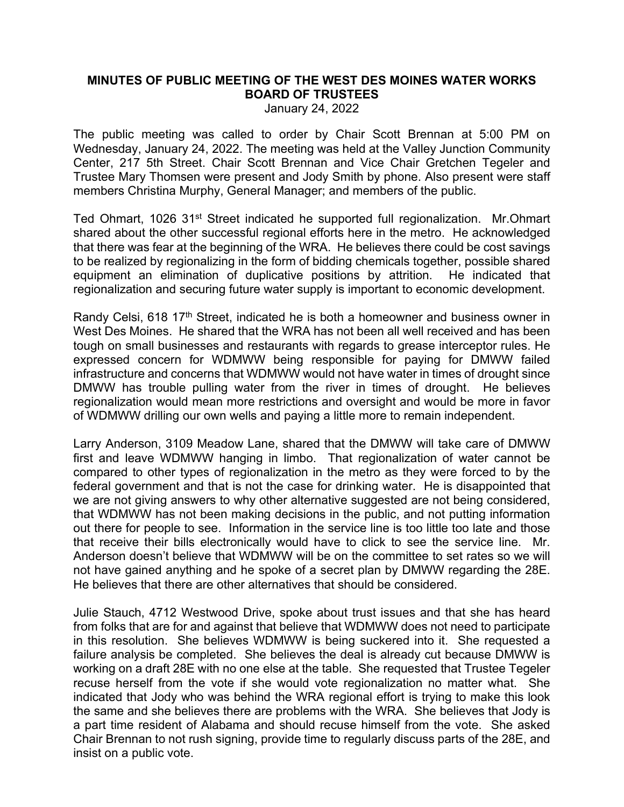## **MINUTES OF PUBLIC MEETING OF THE WEST DES MOINES WATER WORKS BOARD OF TRUSTEES**

January 24, 2022

The public meeting was called to order by Chair Scott Brennan at 5:00 PM on Wednesday, January 24, 2022. The meeting was held at the Valley Junction Community Center, 217 5th Street. Chair Scott Brennan and Vice Chair Gretchen Tegeler and Trustee Mary Thomsen were present and Jody Smith by phone. Also present were staff members Christina Murphy, General Manager; and members of the public.

Ted Ohmart, 1026 31<sup>st</sup> Street indicated he supported full regionalization. Mr.Ohmart shared about the other successful regional efforts here in the metro. He acknowledged that there was fear at the beginning of the WRA. He believes there could be cost savings to be realized by regionalizing in the form of bidding chemicals together, possible shared equipment an elimination of duplicative positions by attrition. He indicated that regionalization and securing future water supply is important to economic development.

Randy Celsi, 618 17<sup>th</sup> Street, indicated he is both a homeowner and business owner in West Des Moines. He shared that the WRA has not been all well received and has been tough on small businesses and restaurants with regards to grease interceptor rules. He expressed concern for WDMWW being responsible for paying for DMWW failed infrastructure and concerns that WDMWW would not have water in times of drought since DMWW has trouble pulling water from the river in times of drought. He believes regionalization would mean more restrictions and oversight and would be more in favor of WDMWW drilling our own wells and paying a little more to remain independent.

Larry Anderson, 3109 Meadow Lane, shared that the DMWW will take care of DMWW first and leave WDMWW hanging in limbo. That regionalization of water cannot be compared to other types of regionalization in the metro as they were forced to by the federal government and that is not the case for drinking water. He is disappointed that we are not giving answers to why other alternative suggested are not being considered, that WDMWW has not been making decisions in the public, and not putting information out there for people to see. Information in the service line is too little too late and those that receive their bills electronically would have to click to see the service line. Mr. Anderson doesn't believe that WDMWW will be on the committee to set rates so we will not have gained anything and he spoke of a secret plan by DMWW regarding the 28E. He believes that there are other alternatives that should be considered.

Julie Stauch, 4712 Westwood Drive, spoke about trust issues and that she has heard from folks that are for and against that believe that WDMWW does not need to participate in this resolution. She believes WDMWW is being suckered into it. She requested a failure analysis be completed. She believes the deal is already cut because DMWW is working on a draft 28E with no one else at the table. She requested that Trustee Tegeler recuse herself from the vote if she would vote regionalization no matter what. She indicated that Jody who was behind the WRA regional effort is trying to make this look the same and she believes there are problems with the WRA. She believes that Jody is a part time resident of Alabama and should recuse himself from the vote. She asked Chair Brennan to not rush signing, provide time to regularly discuss parts of the 28E, and insist on a public vote.